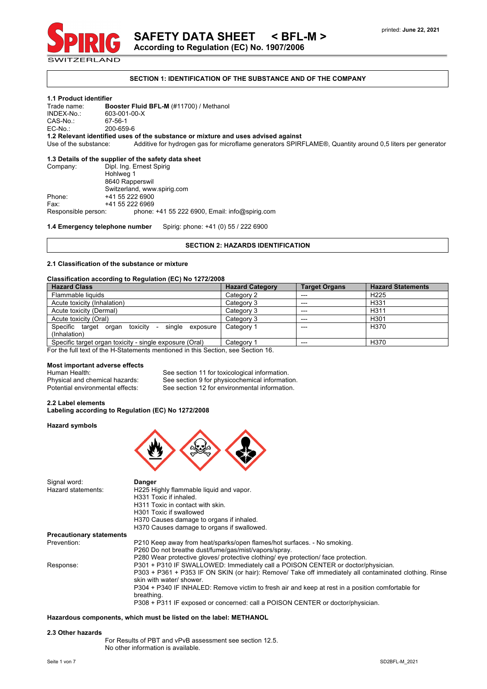

**SECTION 1: IDENTIFICATION OF THE SUBSTANCE AND OF THE COMPANY**

# **1.1 Product identifier**

Trade name: **Booster Fluid BFL-M** (#11700) / Methanol 603-001-00-X<br>67-56-1

CAS-No.:<br>EC-No.: 200-659-6

**1.2 Relevant identified uses of the substance or mixture and uses advised against**

Use of the substance: Additive for hydrogen gas for microflame generators SPIRFLAME®, Quantity around 0,5 liters per generator

# **1.3 Details of the supplier of the safety data sheet**

Company: Dipl. Ing. Ernest Spirig Hohlweg 1 8640 Rapperswil Switzerland, www.spirig.com Phone: +41 55 222 6900<br>Fax: +41 55 222 6969 Fax: +41 55 222 6969<br>Responsible person: phone: phone:  $+41$  55 222 6900, Email: info@spirig.com

**1.4 Emergency telephone number** Spirig: phone: +41 (0) 55 / 222 6900

# **SECTION 2: HAZARDS IDENTIFICATION**

# **2.1 Classification of the substance or mixture**

#### **Classification according to Regulation (EC) No 1272/2008**

| <b>Hazard Class</b>                                     | <b>Hazard Category</b> | <b>Target Organs</b> | <b>Hazard Statements</b> |
|---------------------------------------------------------|------------------------|----------------------|--------------------------|
| Flammable liquids                                       | Category 2             | $---$                | H <sub>225</sub>         |
| Acute toxicity (Inhalation)                             | Category 3             | $---$                | H331                     |
| Acute toxicity (Dermal)                                 | Category 3             | $---$                | H <sub>311</sub>         |
| Acute toxicity (Oral)                                   | Category 3             | $---$                | H301                     |
| Specific target organ toxicity - single exposure        | Category 1             | $- - -$              | H <sub>370</sub>         |
| (Inhalation)                                            |                        |                      |                          |
| Specific target organ toxicity - single exposure (Oral) | Category 1             | $---$                | H370                     |

For the full text of the H-Statements mentioned in this Section, see Section 16.

# **Most important adverse effects**

Signal word: **Danger**

Human Health: See section 11 for toxicological information.<br>
Physical and chemical hazards: See section 9 for physicochemical information. See section 9 for physicochemical information. Potential environmental effects: See section 12 for environmental information.

# **2.2 Label elements Labeling according to Regulation (EC) No 1272/2008**

# **Hazard symbols**



| olynal woru.                    | Panel                                                                                                  |
|---------------------------------|--------------------------------------------------------------------------------------------------------|
| Hazard statements:              | H225 Highly flammable liquid and vapor.                                                                |
|                                 | H331 Toxic if inhaled.                                                                                 |
|                                 | H311 Toxic in contact with skin.                                                                       |
|                                 | H301 Toxic if swallowed                                                                                |
|                                 | H370 Causes damage to organs if inhaled.                                                               |
|                                 | H370 Causes damage to organs if swallowed.                                                             |
| <b>Precautionary statements</b> |                                                                                                        |
| Prevention:                     | P210 Keep away from heat/sparks/open flames/hot surfaces. - No smoking.                                |
|                                 | P260 Do not breathe dust/fume/gas/mist/vapors/spray.                                                   |
|                                 | P280 Wear protective gloves/ protective clothing/ eye protection/ face protection.                     |
| Response:                       | P301 + P310 IF SWALLOWED: Immediately call a POISON CENTER or doctor/physician.                        |
|                                 | P303 + P361 + P353 IF ON SKIN (or hair): Remove/ Take off immediately all contaminated clothing. Rinse |
|                                 | skin with water/ shower.                                                                               |
|                                 | P304 + P340 IF INHALED: Remove victim to fresh air and keep at rest in a position comfortable for      |
|                                 | breathing.                                                                                             |
|                                 | P308 + P311 IF exposed or concerned: call a POISON CENTER or doctor/physician.                         |
|                                 |                                                                                                        |

# **Hazardous components, which must be listed on the label: METHANOL**

#### **2.3 Other hazards**

For Results of PBT and vPvB assessment see section 12.5. No other information is available.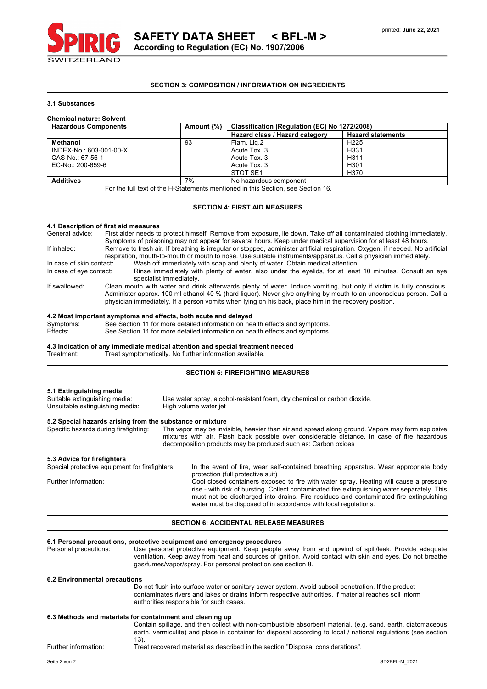### **SECTION 3: COMPOSITION / INFORMATION ON INGREDIENTS**

#### **3.1 Substances**

# **Chemical nature: Solvent**

| <b>Hazardous Components</b> | Amount $\{\% \}$ | Classification (Regulation (EC) No 1272/2008) |                          |  |
|-----------------------------|------------------|-----------------------------------------------|--------------------------|--|
|                             |                  | Hazard class / Hazard category                | <b>Hazard statements</b> |  |
| Methanol                    | 93               | Flam. Lig.2                                   | H <sub>225</sub>         |  |
| INDEX-No.: 603-001-00-X     |                  | Acute Tox, 3                                  | H331                     |  |
| CAS-No.: 67-56-1            |                  | Acute Tox, 3                                  | H <sub>311</sub>         |  |
| EC-No.: 200-659-6           |                  | Acute Tox, 3                                  | H301                     |  |
|                             |                  | STOT SE1                                      | H370                     |  |
| <b>Additives</b>            | 7%               | No hazardous component                        |                          |  |

For the full text of the H-Statements mentioned in this Section, see Section 16.

#### **SECTION 4: FIRST AID MEASURES**

#### **4.1 Description of first aid measures**

| General advice:                                                                                                                                                                                                                                                  | First aider needs to protect himself. Remove from exposure, lie down. Take off all contaminated clothing immediately.<br>Symptoms of poisoning may not appear for several hours. Keep under medical supervision for at least 48 hours.                                                                                                               |  |  |  |  |
|------------------------------------------------------------------------------------------------------------------------------------------------------------------------------------------------------------------------------------------------------------------|------------------------------------------------------------------------------------------------------------------------------------------------------------------------------------------------------------------------------------------------------------------------------------------------------------------------------------------------------|--|--|--|--|
| Remove to fresh air. If breathing is irregular or stopped, administer artificial respiration. Oxygen, if needed. No artificial<br>If inhaled:<br>respiration, mouth-to-mouth or mouth to nose. Use suitable instruments/apparatus. Call a physician immediately. |                                                                                                                                                                                                                                                                                                                                                      |  |  |  |  |
| In case of skin contact:                                                                                                                                                                                                                                         | Wash off immediately with soap and plenty of water. Obtain medical attention.                                                                                                                                                                                                                                                                        |  |  |  |  |
| In case of eye contact:                                                                                                                                                                                                                                          | Rinse immediately with plenty of water, also under the eyelids, for at least 10 minutes. Consult an eye<br>specialist immediately.                                                                                                                                                                                                                   |  |  |  |  |
| If swallowed:                                                                                                                                                                                                                                                    | Clean mouth with water and drink afterwards plenty of water. Induce vomiting, but only if victim is fully conscious.<br>Administer approx. 100 ml ethanol 40 % (hard liquor). Never give anything by mouth to an unconscious person. Call a<br>physician immediately. If a person vomits when lying on his back, place him in the recovery position. |  |  |  |  |

# **4.2 Most important symptoms and effects, both acute and delayed**

Symptoms: See Section 11 for more detailed information on health effects and symptoms.

Effects: See Section 11 for more detailed information on health effects and symptoms

# **4.3 Indication of any immediate medical attention and special treatment needed**

Treat symptomatically. No further information available.

# **SECTION 5: FIREFIGHTING MEASURES**

| 5.1 Extinguishing media<br>Suitable extinguishing media:<br>Unsuitable extinguishing media:           | Use water spray, alcohol-resistant foam, dry chemical or carbon dioxide.<br>High volume water jet |                                                                                                                                                                                                                                                                                                                                                                                                                                                                                 |  |
|-------------------------------------------------------------------------------------------------------|---------------------------------------------------------------------------------------------------|---------------------------------------------------------------------------------------------------------------------------------------------------------------------------------------------------------------------------------------------------------------------------------------------------------------------------------------------------------------------------------------------------------------------------------------------------------------------------------|--|
| 5.2 Special hazards arising from the substance or mixture<br>Specific hazards during firefighting:    |                                                                                                   | The vapor may be invisible, heavier than air and spread along ground. Vapors may form explosive<br>mixtures with air. Flash back possible over considerable distance. In case of fire hazardous<br>decomposition products may be produced such as: Carbon oxides                                                                                                                                                                                                                |  |
| 5.3 Advice for firefighters<br>Special protective equipment for firefighters:<br>Further information: |                                                                                                   | In the event of fire, wear self-contained breathing apparatus. Wear appropriate body<br>protection (full protective suit)<br>Cool closed containers exposed to fire with water spray. Heating will cause a pressure<br>rise - with risk of bursting. Collect contaminated fire extinguishing water separately. This<br>must not be discharged into drains. Fire residues and contaminated fire extinguishing<br>water must be disposed of in accordance with local regulations. |  |

# **SECTION 6: ACCIDENTAL RELEASE MEASURES**

# **6.1 Personal precautions, protective equipment and emergency procedures**

Use personal protective equipment. Keep people away from and upwind of spill/leak. Provide adequate ventilation. Keep away from heat and sources of ignition. Avoid contact with skin and eyes. Do not breathe gas/fumes/vapor/spray. For personal protection see section 8.

#### **6.2 Environmental precautions**

Do not flush into surface water or sanitary sewer system. Avoid subsoil penetration. If the product contaminates rivers and lakes or drains inform respective authorities. If material reaches soil inform authorities responsible for such cases.

#### **6.3 Methods and materials for containment and cleaning up**

Contain spillage, and then collect with non-combustible absorbent material, (e.g. sand, earth, diatomaceous earth, vermiculite) and place in container for disposal according to local / national regulations (see section 13).

Further information: Treat recovered material as described in the section "Disposal considerations".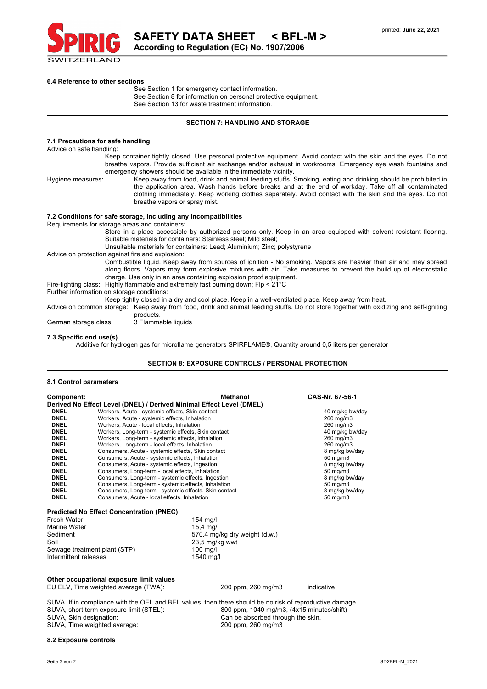

 **SAFETY DATA SHEET < BFL-M >**

**According to Regulation (EC) No. 1907/2006**

#### **6.4 Reference to other sections**

See Section 1 for emergency contact information. See Section 8 for information on personal protective equipment. See Section 13 for waste treatment information.

# **SECTION 7: HANDLING AND STORAGE**

#### **7.1 Precautions for safe handling**

Advice on safe handling:

Keep container tightly closed. Use personal protective equipment. Avoid contact with the skin and the eyes. Do not breathe vapors. Provide sufficient air exchange and/or exhaust in workrooms. Emergency eye wash fountains and emergency showers should be available in the immediate vicinity.

Hygiene measures: Keep away from food, drink and animal feeding stuffs. Smoking, eating and drinking should be prohibited in the application area. Wash hands before breaks and at the end of workday. Take off all contaminated clothing immediately. Keep working clothes separately. Avoid contact with the skin and the eyes. Do not breathe vapors or spray mist.

# **7.2 Conditions for safe storage, including any incompatibilities**

Requirements for storage areas and containers:

Store in a place accessible by authorized persons only. Keep in an area equipped with solvent resistant flooring. Suitable materials for containers: Stainless steel; Mild steel;

Unsuitable materials for containers: Lead; Aluminium; Zinc; polystyrene

Advice on protection against fire and explosion:

Combustible liquid. Keep away from sources of ignition - No smoking. Vapors are heavier than air and may spread along floors. Vapors may form explosive mixtures with air. Take measures to prevent the build up of electrostatic charge. Use only in an area containing explosion proof equipment.

Fire-fighting class: Highly flammable and extremely fast burning down; Flp < 21°C

Further information on storage conditions:

Keep tightly closed in a dry and cool place. Keep in a well-ventilated place. Keep away from heat.

Advice on common storage: Keep away from food, drink and animal feeding stuffs. Do not store together with oxidizing and self-igniting products.<br>3 Flammable liquids

German storage class:

#### **7.3 Specific end use(s)**

Additive for hydrogen gas for microflame generators SPIRFLAME®, Quantity around 0,5 liters per generator

### **SECTION 8: EXPOSURE CONTROLS / PERSONAL PROTECTION**

### **8.1 Control parameters**

| Component:  | Methanol                                                             | CAS-Nr. 67-56-1     |
|-------------|----------------------------------------------------------------------|---------------------|
|             | Derived No Effect Level (DNEL) / Derived Minimal Effect Level (DMEL) |                     |
| <b>DNEL</b> | Workers, Acute - systemic effects, Skin contact                      | 40 mg/kg bw/day     |
| <b>DNEL</b> | Workers, Acute - systemic effects, Inhalation                        | 260 mg/m3           |
| <b>DNEL</b> | Workers, Acute - local effects, Inhalation                           | 260 mg/m3           |
| <b>DNEL</b> | Workers, Long-term - systemic effects, Skin contact                  | 40 mg/kg bw/day     |
| <b>DNEL</b> | Workers, Long-term - systemic effects, Inhalation                    | 260 mg/m3           |
| <b>DNEL</b> | Workers, Long-term - local effects, Inhalation                       | 260 mg/m3           |
| <b>DNEL</b> | Consumers, Acute - systemic effects, Skin contact                    | 8 mg/kg bw/day      |
| <b>DNEL</b> | Consumers, Acute - systemic effects, Inhalation                      | $50 \text{ mg/m}$ 3 |
| <b>DNEL</b> | Consumers, Acute - systemic effects, Ingestion                       | 8 mg/kg bw/day      |
| <b>DNEL</b> | Consumers, Long-term - local effects, Inhalation                     | $50 \text{ mg/m}$ 3 |
| <b>DNEL</b> | Consumers, Long-term - systemic effects, Ingestion                   | 8 mg/kg bw/day      |
| <b>DNEL</b> | Consumers, Long-term - systemic effects, Inhalation                  | $50 \text{ mg/m}$ 3 |
| <b>DNEL</b> | Consumers, Long-term - systemic effects, Skin contact                | 8 mg/kg bw/day      |
| <b>DNEL</b> | Consumers. Acute - local effects. Inhalation                         | $50 \text{ mg/m}$ 3 |

#### **Predicted No Effect Concentration (PNEC)**

| $154$ mg/                     |
|-------------------------------|
| $15.4 \text{ mq/l}$           |
| 570,4 mg/kg dry weight (d.w.) |
| 23,5 mg/kg wwt                |
| $100 \text{ mq/l}$            |
| 1540 mg/l                     |
|                               |

#### **Other occupational exposure limit values**

EU ELV, Time weighted average (TWA): 200 ppm, 260 mg/m3 indicative

SUVA If in compliance with the OEL and BEL values, then there should be no risk of reproductive damage. SUVA, short term exposure limit (STEL): 800 ppm, 1040 mg/m3, (4x15 minutes/shift) SUVA, Skin designation:<br>SUVA, Time weighted average: Can be absorbed through the skin.<br>200 ppm, 260 mg/m3 SUVA, Time weighted average:

#### **8.2 Exposure controls**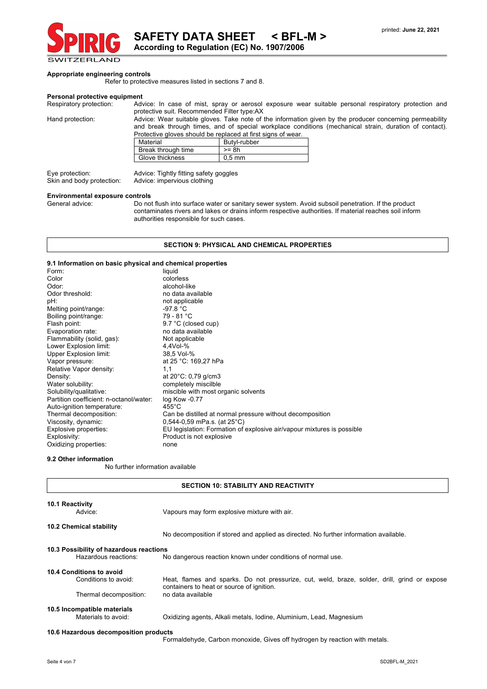

# **Appropriate engineering controls**

Refer to protective measures listed in sections 7 and 8.

**Personal protective equipment**<br>Respiratory protection: Adv Advice: In case of mist, spray or aerosol exposure wear suitable personal respiratory protection and protective suit. Recommended Filter type:AX

Hand protection: Advice: Wear suitable gloves. Take note of the information given by the producer concerning permeability and break through times, and of special workplace conditions (mechanical strain, duration of contact). Protective gloves should be replaced at first signs of wear.

| Material           | Butyl-rubber |
|--------------------|--------------|
| Break through time | >= 8h        |
| Glove thickness    | $0.5$ mm     |

Skin and body protection: Advice: impervious clothing

Eye protection: Advice: Tightly fitting safety goggles

# **Environmental exposure controls**

Do not flush into surface water or sanitary sewer system. Avoid subsoil penetration. If the product contaminates rivers and lakes or drains inform respective authorities. If material reaches soil inform authorities responsible for such cases.

# **SECTION 9: PHYSICAL AND CHEMICAL PROPERTIES**

# **9.1 Information on basic physical and chemical properties**

| 3.1 mortuation on pasic privational and chemical properties |                                                                        |
|-------------------------------------------------------------|------------------------------------------------------------------------|
| Form:                                                       | liquid                                                                 |
| Color                                                       | colorless                                                              |
| Odor:                                                       | alcohol-like                                                           |
| Odor threshold:                                             | no data available                                                      |
| pH:                                                         | not applicable                                                         |
| Melting point/range:                                        | -97.8 °C                                                               |
| Boiling point/range:                                        | 79 - 81 °C                                                             |
| Flash point:                                                | 9.7 °C (closed cup)                                                    |
| Evaporation rate:                                           | no data available                                                      |
| Flammability (solid, gas):                                  | Not applicable                                                         |
| Lower Explosion limit:                                      | $4,4$ Vol- $%$                                                         |
| <b>Upper Explosion limit:</b>                               | 38.5 Vol-%                                                             |
| Vapor pressure:                                             | at 25 °C: 169,27 hPa                                                   |
| Relative Vapor density:                                     | 1,1                                                                    |
| Density:                                                    | at $20^{\circ}$ C: 0,79 g/cm3                                          |
| Water solubility:                                           | completely miscilble                                                   |
| Solubility/qualitative:                                     | miscible with most organic solvents                                    |
| Partition coefficient: n-octanol/water:                     | log Kow -0.77                                                          |
| Auto-ignition temperature:                                  | $455^{\circ}$ C                                                        |
| Thermal decomposition:                                      | Can be distilled at normal pressure without decomposition              |
| Viscosity, dynamic:                                         | $0,544-0,59$ mPa.s. (at $25^{\circ}$ C)                                |
| Explosive properties:                                       | EU legislation: Formation of explosive air/vapour mixtures is possible |
| Explosivity:                                                | Product is not explosive                                               |
| Oxidizing properties:                                       | none                                                                   |

#### **9.2 Other information**

No further information available

| <b>SECTION 10: STABILITY AND REACTIVITY</b>                                |                                                                                                                                                                |  |  |
|----------------------------------------------------------------------------|----------------------------------------------------------------------------------------------------------------------------------------------------------------|--|--|
| <b>10.1 Reactivity</b><br>Advice:                                          | Vapours may form explosive mixture with air.                                                                                                                   |  |  |
| <b>10.2 Chemical stability</b>                                             | No decomposition if stored and applied as directed. No further information available.                                                                          |  |  |
| 10.3 Possibility of hazardous reactions<br>Hazardous reactions:            | No dangerous reaction known under conditions of normal use.                                                                                                    |  |  |
| 10.4 Conditions to avoid<br>Conditions to avoid:<br>Thermal decomposition: | Heat, flames and sparks. Do not pressurize, cut, weld, braze, solder, drill, grind or expose<br>containers to heat or source of ignition.<br>no data available |  |  |
| 10.5 Incompatible materials<br>Materials to avoid:                         | Oxidizing agents, Alkali metals, Iodine, Aluminium, Lead, Magnesium                                                                                            |  |  |
| 10.6 Hazardous decomposition products                                      | Formaldehyde, Carbon monoxide, Gives off hydrogen by reaction with metals.                                                                                     |  |  |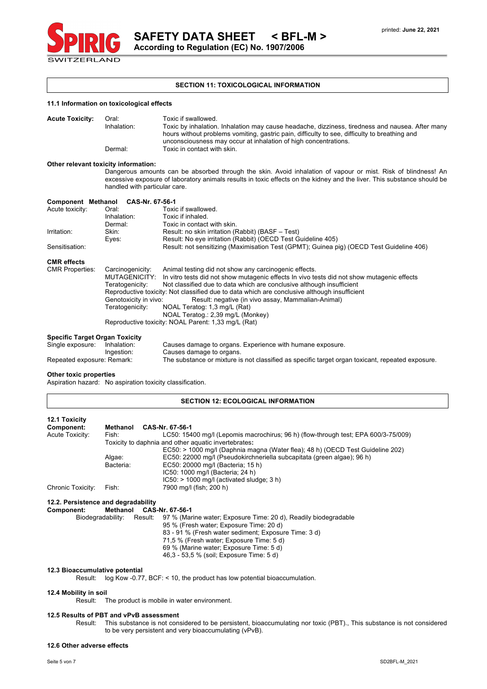

printed: **June 22, 2021**

# **SECTION 11: TOXICOLOGICAL INFORMATION**

|  | 11.1 Information on toxicological effects |  |  |
|--|-------------------------------------------|--|--|
|  |                                           |  |  |

| <b>Acute Toxicity:</b> | Oral:       | Toxic if swallowed.                                                                             |
|------------------------|-------------|-------------------------------------------------------------------------------------------------|
|                        | Inhalation: | Toxic by inhalation. Inhalation may cause headache, dizziness, tiredness and nausea. After many |
|                        |             | hours without problems vomiting, gastric pain, difficulty to see, difficulty to breathing and   |
|                        |             | unconsciousness may occur at inhalation of high concentrations.                                 |
|                        | Dermal:     | Toxic in contact with skin.                                                                     |

# **Other relevant toxicity information:**

Dangerous amounts can be absorbed through the skin. Avoid inhalation of vapour or mist. Risk of blindness! An excessive exposure of laboratory animals results in toxic effects on the kidney and the liver. This substance should be handled with particular care.

| <b>Component Methanol</b>             | CAS-Nr. 67-56-1                                                                              |                                                                                            |  |
|---------------------------------------|----------------------------------------------------------------------------------------------|--------------------------------------------------------------------------------------------|--|
| Acute toxicity:                       | Oral:                                                                                        | Toxic if swallowed.                                                                        |  |
|                                       | Inhalation:                                                                                  | Toxic if inhaled.                                                                          |  |
|                                       | Dermal:                                                                                      | Toxic in contact with skin.                                                                |  |
| Irritation:                           | Skin:                                                                                        | Result: no skin irritation (Rabbit) (BASF - Test)                                          |  |
|                                       | Eyes:                                                                                        | Result: No eye irritation (Rabbit) (OECD Test Guideline 405)                               |  |
| Sensitisation:                        |                                                                                              | Result: not sensitizing (Maximisation Test (GPMT); Guinea pig) (OECD Test Guideline 406)   |  |
| <b>CMR</b> effects                    |                                                                                              |                                                                                            |  |
| <b>CMR Properties:</b>                | Carcinogenicity:                                                                             | Animal testing did not show any carcinogenic effects.                                      |  |
|                                       | MUTAGENICITY:                                                                                | In vitro tests did not show mutagenic effects In vivo tests did not show mutagenic effects |  |
|                                       | Teratogenicity:                                                                              | Not classified due to data which are conclusive although insufficient                      |  |
|                                       | Reproductive toxicity: Not classified due to data which are conclusive although insufficient |                                                                                            |  |
|                                       | Genotoxicity in vivo:                                                                        | Result: negative (in vivo assay, Mammalian-Animal)                                         |  |
|                                       | Teratogenicity:                                                                              | NOAL Teratog: 1,3 mg/L (Rat)                                                               |  |
|                                       |                                                                                              | NOAL Teratog.: 2,39 mg/L (Monkey)                                                          |  |
|                                       |                                                                                              | Reproductive toxicity: NOAL Parent: 1,33 mg/L (Rat)                                        |  |
| <b>Specific Target Organ Toxicity</b> |                                                                                              |                                                                                            |  |
| Single exposure:                      | Inhalation:                                                                                  | Causes damage to organs. Experience with humane exposure.                                  |  |

| Single exposure:           | Inhalation: | Causes damage to organs. Experience with humane exposure.                                        |
|----------------------------|-------------|--------------------------------------------------------------------------------------------------|
|                            | Ingestion:  | Causes damage to organs.                                                                         |
| Repeated exposure: Remark: |             | The substance or mixture is not classified as specific target organ toxicant, repeated exposure. |

# **Other toxic properties**

Aspiration hazard: No aspiration toxicity classification.

#### **SECTION 12: ECOLOGICAL INFORMATION**

| 12.1 Toxicity<br>Component: | Methanol  | CAS-Nr. 67-56-1                                                                    |
|-----------------------------|-----------|------------------------------------------------------------------------------------|
| Acute Toxicity:             | Fish:     | LC50: 15400 mg/l (Lepomis macrochirus; 96 h) (flow-through test; EPA 600/3-75/009) |
|                             |           | Toxicity to daphnia and other aquatic invertebrates:                               |
|                             |           | EC50: > 1000 mg/l (Daphnia magna (Water flea); 48 h) (OECD Test Guideline 202)     |
|                             | Algae:    | EC50: 22000 mg/l (Pseudokirchneriella subcapitata (green algae); 96 h)             |
|                             | Bacteria: | EC50: 20000 mg/l (Bacteria; 15 h)                                                  |
|                             |           | IC50: 1000 mg/l (Bacteria; 24 h)                                                   |
|                             |           | $IC50:$ > 1000 mg/l (activated sludge; 3 h)                                        |
| Chronic Toxicity:           | Fish:     | 7900 mg/l (fish; 200 h)                                                            |
|                             |           |                                                                                    |

#### **12.2. Persistence and degradability** Methanol CAS-Nr. 67-56-1

| Biodegradability: |  | Result: 97 % (Marine water: Exposure Time: 20 d), Readily biodegradable |
|-------------------|--|-------------------------------------------------------------------------|
|                   |  | 95 % (Fresh water; Exposure Time: 20 d)                                 |
|                   |  | 83 - 91 % (Fresh water sediment: Exposure Time: 3 d)                    |
|                   |  | 71,5 % (Fresh water; Exposure Time: 5 d)                                |
|                   |  | 69 % (Marine water; Exposure Time: 5 d)                                 |
|                   |  | 46.3 - 53.5 % (soil: Exposure Time: 5 d)                                |
|                   |  |                                                                         |

#### **12.3 Bioaccumulative potential**

Result: log Kow -0.77, BCF: < 10, the product has low potential bioaccumulation.

### **12.4 Mobility in soil**

Result: The product is mobile in water environment.

# **12.5 Results of PBT and vPvB assessment**

Result: This substance is not considered to be persistent, bioaccumulating nor toxic (PBT)., This substance is not considered to be very persistent and very bioaccumulating (vPvB).

#### **12.6 Other adverse effects**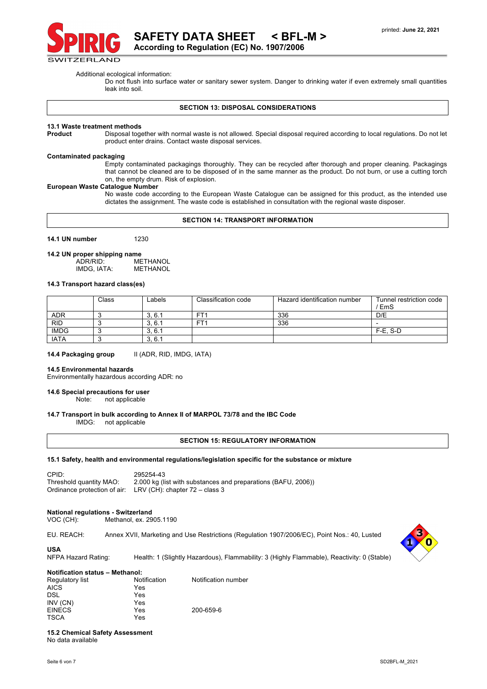

Additional ecological information:

Do not flush into surface water or sanitary sewer system. Danger to drinking water if even extremely small quantities leak into soil.

#### **SECTION 13: DISPOSAL CONSIDERATIONS**

#### **13.1 Waste treatment methods**

**Product** Disposal together with normal waste is not allowed. Special disposal required according to local regulations. Do not let product enter drains. Contact waste disposal services.

# **Contaminated packaging**

Empty contaminated packagings thoroughly. They can be recycled after thorough and proper cleaning. Packagings that cannot be cleaned are to be disposed of in the same manner as the product. Do not burn, or use a cutting torch on, the empty drum. Risk of explosion.

#### **European Waste Catalogue Number**

No waste code according to the European Waste Catalogue can be assigned for this product, as the intended use dictates the assignment. The waste code is established in consultation with the regional waste disposer.

### **SECTION 14: TRANSPORT INFORMATION**

**14.1 UN number** 1230

# **14.2 UN proper shipping name**

METHANOL<br>METHANOL IMDG, IATA:

### **14.3 Transport hazard class(es)**

|             | Class | Labels | Classification code | Hazard identification number | Tunnel restriction code<br>' EmS |
|-------------|-------|--------|---------------------|------------------------------|----------------------------------|
| <b>ADR</b>  |       | 3.6.1  | FT1                 | 336                          | D/E                              |
| <b>RID</b>  |       | 3.6.1  | FT <sup>-</sup>     | 336                          |                                  |
| <b>IMDG</b> |       | 3, 6.1 |                     |                              | $F-E. S-D$                       |
| <b>IATA</b> |       | 3.6.1  |                     |                              |                                  |

14.4 Packaging group **III** (ADR, RID, IMDG, IATA)

#### **14.5 Environmental hazards**

Environmentally hazardous according ADR: no

#### **14.6 Special precautions for user**

Note: not applicable

#### **14.7 Transport in bulk according to Annex II of MARPOL 73/78 and the IBC Code**

IMDG: not applicable

#### **SECTION 15: REGULATORY INFORMATION**

# **15.1 Safety, health and environmental regulations/legislation specific for the substance or mixture**

CPID: 295254-43<br>Threshold quantity MAO: 2.000 kg (li 2.000 kg (list with substances and preparations (BAFU, 2006)) Ordinance protection of air: LRV (CH): chapter 72 – class 3

#### **National regulations - Switzerland**

| VOC (CH): | Methanol, ex. 2905.1190 |
|-----------|-------------------------|
|-----------|-------------------------|

EU. REACH: Annex XVII, Marketing and Use Restrictions (Regulation 1907/2006/EC), Point Nos.: 40, Lusted



NFPA Hazard Rating: Health: 1 (Slightly Hazardous), Flammability: 3 (Highly Flammable), Reactivity: 0 (Stable)

**Notification status – Methanol:** Regulatory list **Notification** Notification<br>AICS Yes Yes AICS Yes DSL INV (CN) Yes EINECS Yes 200-659-6

**15.2 Chemical Safety Assessment** No data available

TSCA Yes

**USA**